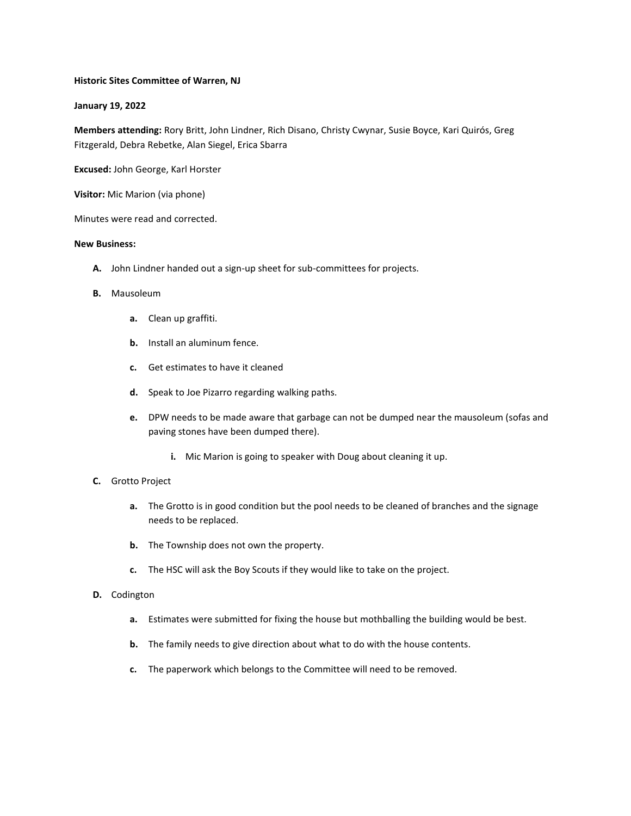### **Historic Sites Committee of Warren, NJ**

## **January 19, 2022**

**Members attending:** Rory Britt, John Lindner, Rich Disano, Christy Cwynar, Susie Boyce, Kari Quirós, Greg Fitzgerald, Debra Rebetke, Alan Siegel, Erica Sbarra

**Excused:** John George, Karl Horster

**Visitor:** Mic Marion (via phone)

Minutes were read and corrected.

## **New Business:**

**A.** John Lindner handed out a sign-up sheet for sub-committees for projects.

## **B.** Mausoleum

- **a.** Clean up graffiti.
- **b.** Install an aluminum fence.
- **c.** Get estimates to have it cleaned
- **d.** Speak to Joe Pizarro regarding walking paths.
- **e.** DPW needs to be made aware that garbage can not be dumped near the mausoleum (sofas and paving stones have been dumped there).
	- **i.** Mic Marion is going to speaker with Doug about cleaning it up.

## **C.** Grotto Project

- **a.** The Grotto is in good condition but the pool needs to be cleaned of branches and the signage needs to be replaced.
- **b.** The Township does not own the property.
- **c.** The HSC will ask the Boy Scouts if they would like to take on the project.
- **D.** Codington
	- **a.** Estimates were submitted for fixing the house but mothballing the building would be best.
	- **b.** The family needs to give direction about what to do with the house contents.
	- **c.** The paperwork which belongs to the Committee will need to be removed.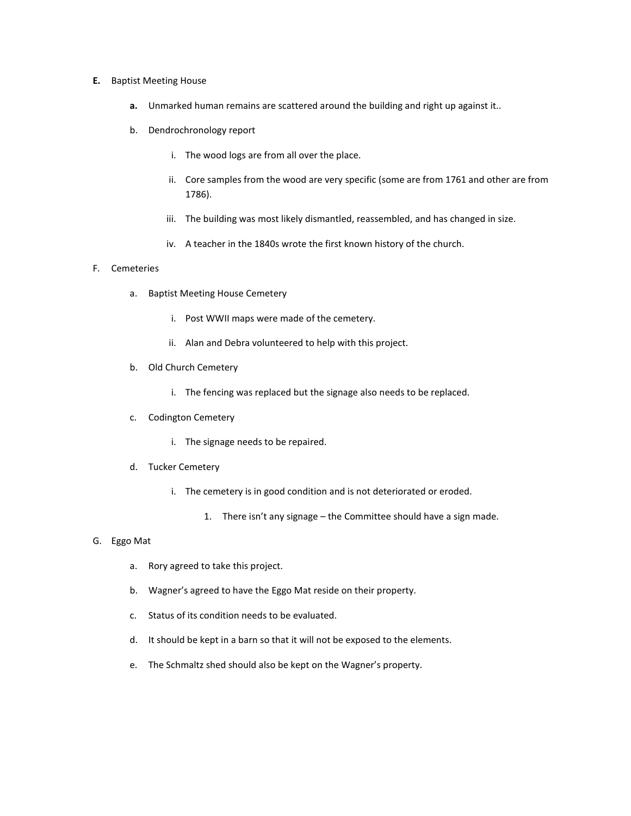#### **E.** Baptist Meeting House

- **a.** Unmarked human remains are scattered around the building and right up against it..
- b. Dendrochronology report
	- i. The wood logs are from all over the place.
	- ii. Core samples from the wood are very specific (some are from 1761 and other are from 1786).
	- iii. The building was most likely dismantled, reassembled, and has changed in size.
	- iv. A teacher in the 1840s wrote the first known history of the church.

## F. Cemeteries

- a. Baptist Meeting House Cemetery
	- i. Post WWII maps were made of the cemetery.
	- ii. Alan and Debra volunteered to help with this project.
- b. Old Church Cemetery
	- i. The fencing was replaced but the signage also needs to be replaced.
- c. Codington Cemetery
	- i. The signage needs to be repaired.
- d. Tucker Cemetery
	- i. The cemetery is in good condition and is not deteriorated or eroded.
		- 1. There isn't any signage the Committee should have a sign made.

#### G. Eggo Mat

- a. Rory agreed to take this project.
- b. Wagner's agreed to have the Eggo Mat reside on their property.
- c. Status of its condition needs to be evaluated.
- d. It should be kept in a barn so that it will not be exposed to the elements.
- e. The Schmaltz shed should also be kept on the Wagner's property.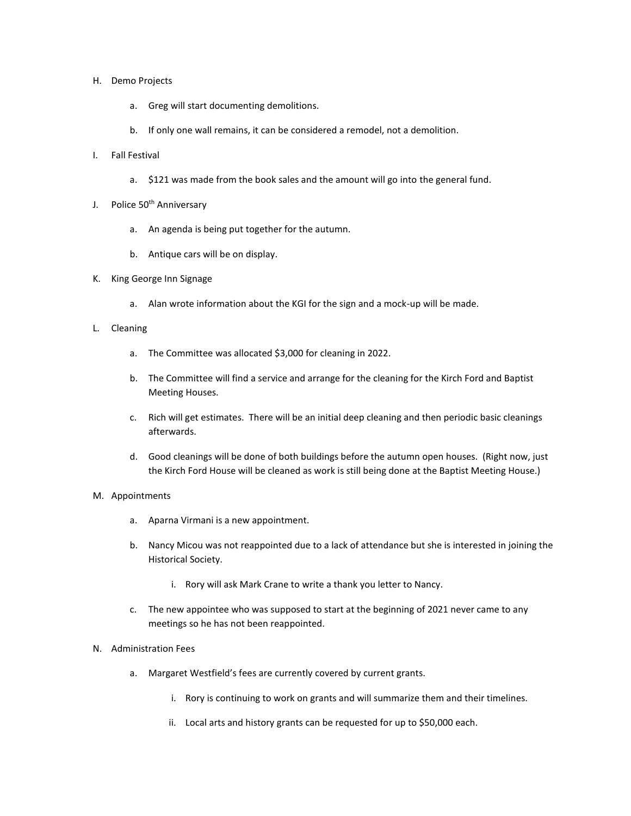#### H. Demo Projects

- a. Greg will start documenting demolitions.
- b. If only one wall remains, it can be considered a remodel, not a demolition.

#### I. Fall Festival

- a. \$121 was made from the book sales and the amount will go into the general fund.
- J. Police 50<sup>th</sup> Anniversary
	- a. An agenda is being put together for the autumn.
	- b. Antique cars will be on display.
- K. King George Inn Signage
	- a. Alan wrote information about the KGI for the sign and a mock-up will be made.
- L. Cleaning
	- a. The Committee was allocated \$3,000 for cleaning in 2022.
	- b. The Committee will find a service and arrange for the cleaning for the Kirch Ford and Baptist Meeting Houses.
	- c. Rich will get estimates. There will be an initial deep cleaning and then periodic basic cleanings afterwards.
	- d. Good cleanings will be done of both buildings before the autumn open houses. (Right now, just the Kirch Ford House will be cleaned as work is still being done at the Baptist Meeting House.)

#### M. Appointments

- a. Aparna Virmani is a new appointment.
- b. Nancy Micou was not reappointed due to a lack of attendance but she is interested in joining the Historical Society.
	- i. Rory will ask Mark Crane to write a thank you letter to Nancy.
- c. The new appointee who was supposed to start at the beginning of 2021 never came to any meetings so he has not been reappointed.
- N. Administration Fees
	- a. Margaret Westfield's fees are currently covered by current grants.
		- i. Rory is continuing to work on grants and will summarize them and their timelines.
		- ii. Local arts and history grants can be requested for up to \$50,000 each.